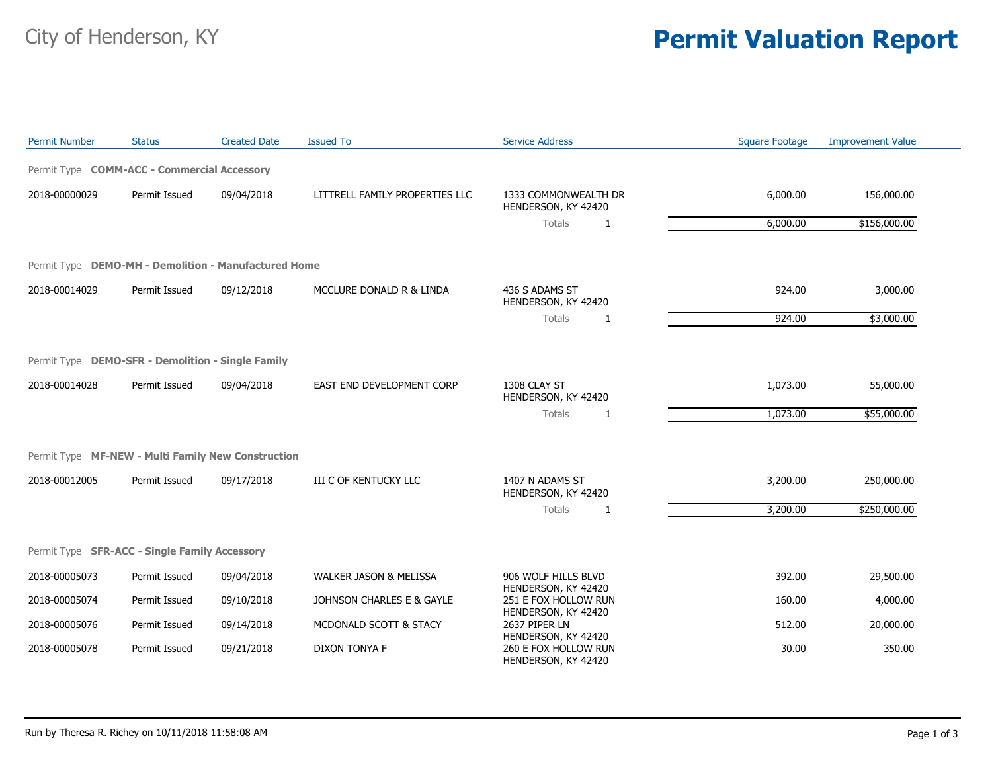## City of Henderson, KY **Permit Valuation Report**

| <b>Permit Number</b>                                 | <b>Status</b> | <b>Created Date</b> | <b>Issued To</b>                  | <b>Service Address</b>                                             | <b>Square Footage</b> | <b>Improvement Value</b> |
|------------------------------------------------------|---------------|---------------------|-----------------------------------|--------------------------------------------------------------------|-----------------------|--------------------------|
| Permit Type COMM-ACC - Commercial Accessory          |               |                     |                                   |                                                                    |                       |                          |
| 2018-00000029                                        | Permit Issued | 09/04/2018          | LITTRELL FAMILY PROPERTIES LLC    | 1333 COMMONWEALTH DR<br>HENDERSON, KY 42420                        | 6,000.00              | 156,000.00               |
|                                                      |               |                     |                                   | Totals<br>1                                                        | 6,000.00              | \$156,000.00             |
| Permit Type DEMO-MH - Demolition - Manufactured Home |               |                     |                                   |                                                                    |                       |                          |
| 2018-00014029                                        | Permit Issued | 09/12/2018          | MCCLURE DONALD R & LINDA          | 436 S ADAMS ST<br>HENDERSON, KY 42420                              | 924.00                | 3,000.00                 |
|                                                      |               |                     |                                   | Totals<br>1                                                        | 924.00                | \$3,000.00               |
| Permit Type DEMO-SFR - Demolition - Single Family    |               |                     |                                   |                                                                    |                       |                          |
| 2018-00014028                                        | Permit Issued | 09/04/2018          | EAST END DEVELOPMENT CORP         | 1308 CLAY ST<br>HENDERSON, KY 42420                                | 1,073.00              | 55,000.00                |
|                                                      |               |                     |                                   | Totals<br>1                                                        | 1,073.00              | \$55,000.00              |
| Permit Type MF-NEW - Multi Family New Construction   |               |                     |                                   |                                                                    |                       |                          |
| 2018-00012005                                        | Permit Issued | 09/17/2018          | III C OF KENTUCKY LLC             | 1407 N ADAMS ST<br>HENDERSON, KY 42420                             | 3,200.00              | 250,000.00               |
|                                                      |               |                     |                                   | Totals<br>1                                                        | 3,200.00              | \$250,000.00             |
| Permit Type SFR-ACC - Single Family Accessory        |               |                     |                                   |                                                                    |                       |                          |
| 2018-00005073                                        | Permit Issued | 09/04/2018          | <b>WALKER JASON &amp; MELISSA</b> | 906 WOLF HILLS BLVD                                                | 392.00                | 29,500.00                |
| 2018-00005074                                        | Permit Issued | 09/10/2018          | JOHNSON CHARLES E & GAYLE         | HENDERSON, KY 42420<br>251 E FOX HOLLOW RUN<br>HENDERSON, KY 42420 | 160.00                | 4,000.00                 |
| 2018-00005076                                        | Permit Issued | 09/14/2018          | MCDONALD SCOTT & STACY            | 2637 PIPER LN<br>HENDERSON, KY 42420                               | 512.00                | 20,000.00                |
| 2018-00005078                                        | Permit Issued | 09/21/2018          | <b>DIXON TONYA F</b>              | 260 E FOX HOLLOW RUN<br>HENDERSON, KY 42420                        | 30.00                 | 350.00                   |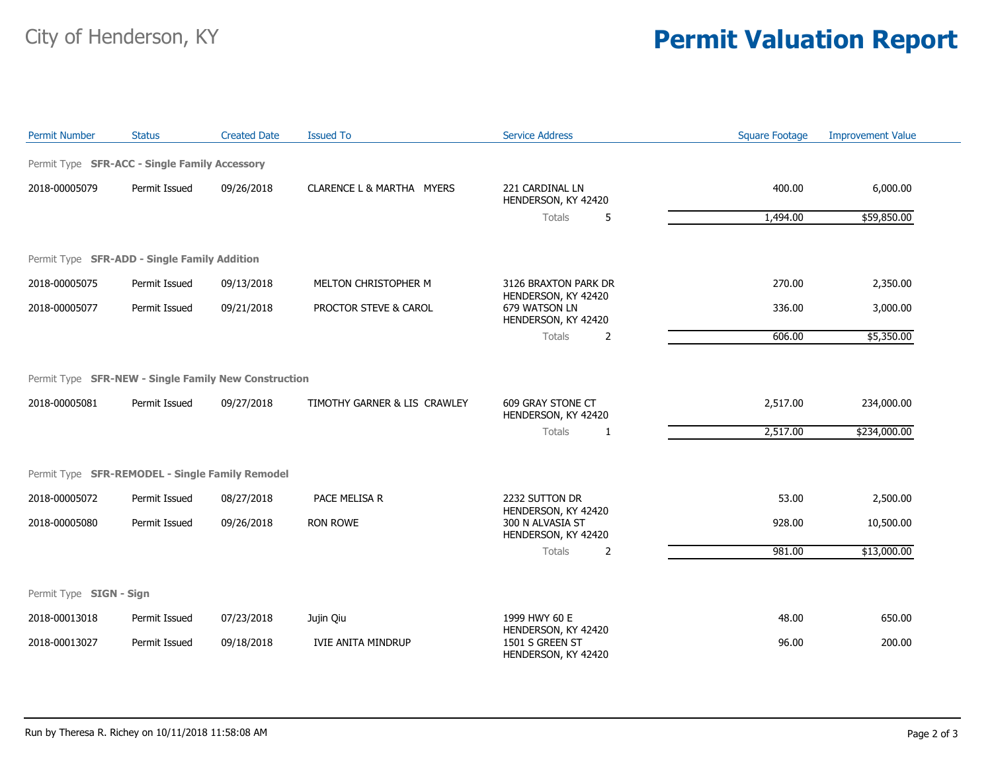## City of Henderson, KY **Permit Valuation Report**

| <b>Permit Number</b>    | <b>Status</b>                                        | <b>Created Date</b> | <b>Issued To</b>             | <b>Service Address</b>                                         | <b>Square Footage</b> | <b>Improvement Value</b> |
|-------------------------|------------------------------------------------------|---------------------|------------------------------|----------------------------------------------------------------|-----------------------|--------------------------|
|                         | Permit Type SFR-ACC - Single Family Accessory        |                     |                              |                                                                |                       |                          |
| 2018-00005079           | Permit Issued                                        | 09/26/2018          | CLARENCE L & MARTHA MYERS    | 221 CARDINAL LN<br>HENDERSON, KY 42420                         | 400.00                | 6,000.00                 |
|                         |                                                      |                     |                              | 5<br>Totals                                                    | 1,494.00              | \$59,850.00              |
|                         | Permit Type SFR-ADD - Single Family Addition         |                     |                              |                                                                |                       |                          |
| 2018-00005075           | Permit Issued                                        | 09/13/2018          | MELTON CHRISTOPHER M         | 3126 BRAXTON PARK DR                                           | 270.00                | 2,350.00                 |
| 2018-00005077           | Permit Issued                                        | 09/21/2018          | PROCTOR STEVE & CAROL        | HENDERSON, KY 42420<br>679 WATSON LN<br>HENDERSON, KY 42420    | 336.00                | 3,000.00                 |
|                         |                                                      |                     |                              | Totals<br>2                                                    | 606.00                | \$5,350.00               |
|                         | Permit Type SFR-NEW - Single Family New Construction |                     |                              |                                                                |                       |                          |
| 2018-00005081           | Permit Issued                                        | 09/27/2018          | TIMOTHY GARNER & LIS CRAWLEY | 609 GRAY STONE CT<br>HENDERSON, KY 42420                       | 2,517.00              | 234,000.00               |
|                         |                                                      |                     |                              | Totals<br>$\mathbf{1}$                                         | 2,517.00              | \$234,000.00             |
|                         | Permit Type SFR-REMODEL - Single Family Remodel      |                     |                              |                                                                |                       |                          |
| 2018-00005072           | Permit Issued                                        | 08/27/2018          | PACE MELISA R                | 2232 SUTTON DR                                                 | 53.00                 | 2,500.00                 |
| 2018-00005080           | Permit Issued                                        | 09/26/2018          | RON ROWE                     | HENDERSON, KY 42420<br>300 N ALVASIA ST<br>HENDERSON, KY 42420 | 928.00                | 10,500.00                |
|                         |                                                      |                     |                              | Totals<br>2                                                    | 981.00                | \$13,000.00              |
| Permit Type SIGN - Sign |                                                      |                     |                              |                                                                |                       |                          |
| 2018-00013018           | Permit Issued                                        | 07/23/2018          | Jujin Qiu                    | 1999 HWY 60 E                                                  | 48.00                 | 650.00                   |
| 2018-00013027           | Permit Issued                                        | 09/18/2018          | <b>IVIE ANITA MINDRUP</b>    | HENDERSON, KY 42420<br>1501 S GREEN ST<br>HENDERSON, KY 42420  | 96.00                 | 200.00                   |